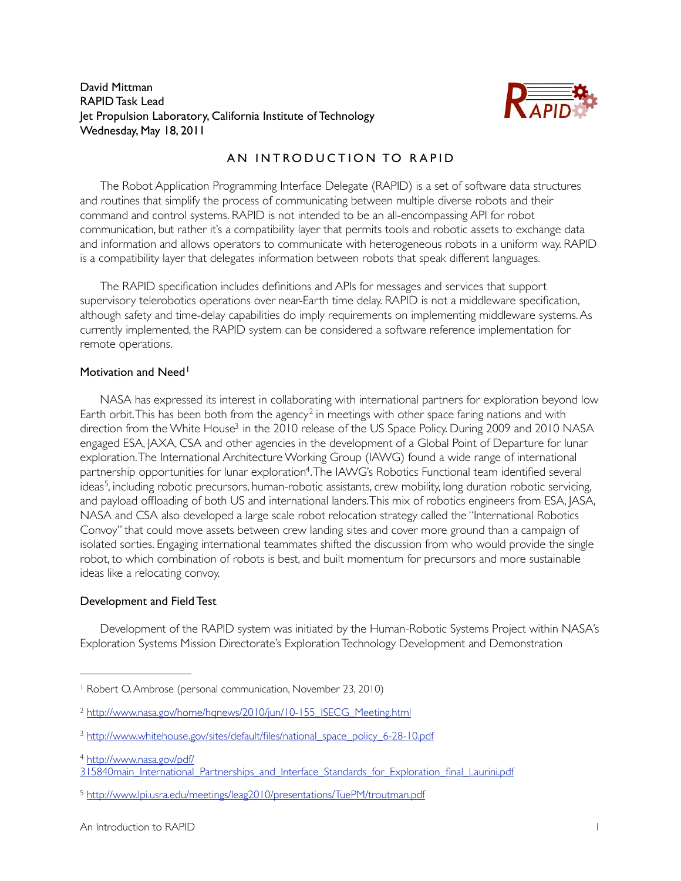David Mittman RAPID Task Lead Jet Propulsion Laboratory, California Institute of Technology Wednesday, May 18, 2011



# AN INTRODUCTION TO RAPID

The Robot Application Programming Interface Delegate (RAPID) is a set of software data structures and routines that simplify the process of communicating between multiple diverse robots and their command and control systems. RAPID is not intended to be an all-encompassing API for robot communication, but rather it's a compatibility layer that permits tools and robotic assets to exchange data and information and allows operators to communicate with heterogeneous robots in a uniform way. RAPID is a compatibility layer that delegates information between robots that speak different languages.

The RAPID specification includes definitions and APIs for messages and services that support supervisory telerobotics operations over near-Earth time delay. RAPID is not a middleware specification, although safety and time-delay capabilities do imply requirements on implementing middleware systems. As currently implemented, the RAPID system can be considered a software reference implementation for remote operations.

#### Motivation and Need<sup>[1](#page-0-0)</sup>

NASA has expressed its interest in collaborating with international partners for exploration beyond low Earth orbit. This has been both from the agency<sup>[2](#page-0-1)</sup> in meetings with other space faring nations and with direction from the White House<sup>3</sup> in the 2010 release of the US Space Policy. During 2009 and 2010 NASA engaged ESA, JAXA, CSA and other agencies in the development of a Global Point of Departure for lunar exploration. The International Architecture Working Group (IAWG) found a wide range of international partnership opportunities for lunar exploratio[n4](#page-0-3). The IAWG's Robotics Functional team identified several ideas<sup>[5](#page-0-4)</sup>, including robotic precursors, human-robotic assistants, crew mobility, long duration robotic servicing, and payload offloading of both US and international landers. This mix of robotics engineers from ESA, JASA, NASA and CSA also developed a large scale robot relocation strategy called the "International Robotics Convoy" that could move assets between crew landing sites and cover more ground than a campaign of isolated sorties. Engaging international teammates shifted the discussion from who would provide the single robot, to which combination of robots is best, and built momentum for precursors and more sustainable ideas like a relocating convoy.

# Development and Field Test

Development of the RAPID system was initiated by the Human-Robotic Systems Project within NASA's Exploration Systems Mission Directorate's Exploration Technology Development and Demonstration

<span id="page-0-0"></span><sup>1</sup> Robert O. Ambrose (personal communication, November 23, 2010)

<span id="page-0-1"></span><sup>&</sup>lt;sup>2</sup> [http://www.nasa.gov/home/hqnews/2010/jun/10-155\\_ISECG\\_Meeting.html](http://www.nasa.gov/home/hqnews/2010/jun/10-155_ISECG_Meeting.html)

<span id="page-0-2"></span><sup>&</sup>lt;sup>3</sup> [http://www.whitehouse.gov/sites/default/files/national\\_space\\_policy\\_6-28-10.pdf](http://www.whitehouse.gov/sites/default/files/national_space_policy_6-28-10.pdf)

<span id="page-0-3"></span><sup>4</sup> [http://www.nasa.gov/pdf/](http://www.nasa.gov/pdf/315840main_International_Partnerships_and_Interface_Standards_for_Exploration_final_Laurini.pdf)

[<sup>315840</sup>main\\_International\\_Partnerships\\_and\\_Interface\\_Standards\\_for\\_Exploration\\_final\\_Laurini.pdf](http://www.nasa.gov/pdf/315840main_International_Partnerships_and_Interface_Standards_for_Exploration_final_Laurini.pdf)

<span id="page-0-4"></span><sup>5</sup> <http://www.lpi.usra.edu/meetings/leag2010/presentations/TuePM/troutman.pdf>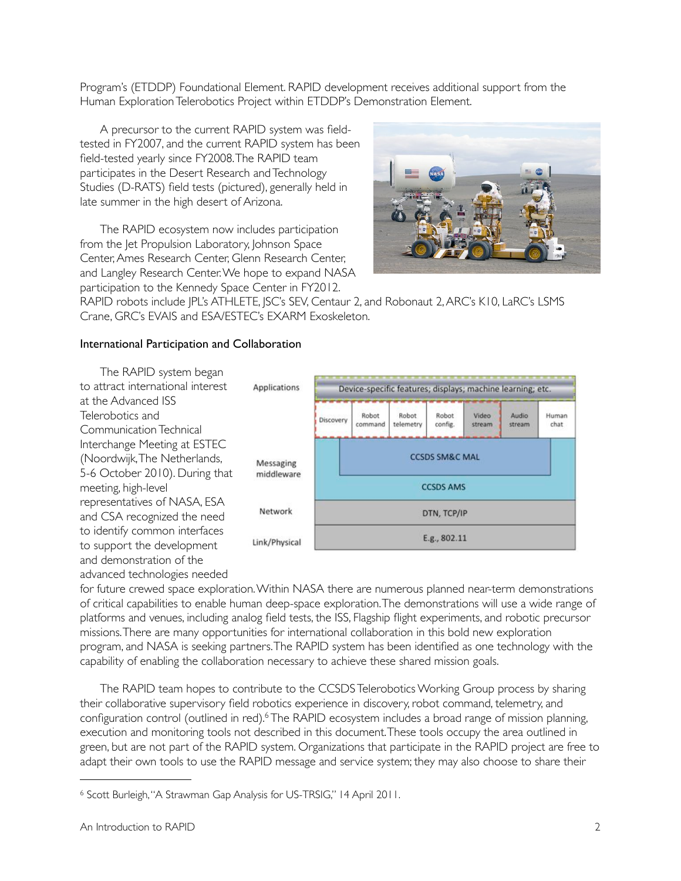Program's (ETDDP) Foundational Element. RAPID development receives additional support from the Human Exploration Telerobotics Project within ETDDP's Demonstration Element.

A precursor to the current RAPID system was fieldtested in FY2007, and the current RAPID system has been field-tested yearly since FY2008. The RAPID team participates in the Desert Research and Technology Studies (D-RATS) field tests (pictured), generally held in late summer in the high desert of Arizona.

The RAPID ecosystem now includes participation from the Jet Propulsion Laboratory, Johnson Space Center, Ames Research Center, Glenn Research Center, and Langley Research Center. We hope to expand NASA participation to the Kennedy Space Center in FY2012.



RAPID robots include JPL's ATHLETE, JSC's SEV, Centaur 2, and Robonaut 2, ARC's K10, LaRC's LSMS Crane, GRC's EVAIS and ESA/ESTEC's EXARM Exoskeleton.

### International Participation and Collaboration

The RAPID system began to attract international interest at the Advanced ISS Telerobotics and Communication Technical Interchange Meeting at ESTEC (Noordwijk, The Netherlands, 5-6 October 2010). During that meeting, high-level representatives of NASA, ESA and CSA recognized the need to identify common interfaces to support the development and demonstration of the advanced technologies needed



for future crewed space exploration. Within NASA there are numerous planned near-term demonstrations of critical capabilities to enable human deep-space exploration. The demonstrations will use a wide range of platforms and venues, including analog field tests, the ISS, Flagship flight experiments, and robotic precursor missions. There are many opportunities for international collaboration in this bold new exploration program, and NASA is seeking partners. The RAPID system has been identified as one technology with the capability of enabling the collaboration necessary to achieve these shared mission goals.

The RAPID team hopes to contribute to the CCSDS Telerobotics Working Group process by sharing their collaborative supervisory field robotics experience in discovery, robot command, telemetry, and configuration control (outlined in red).<sup>6</sup> The RAPID ecosystem includes a broad range of mission planning, execution and monitoring tools not described in this document. These tools occupy the area outlined in green, but are not part of the RAPID system. Organizations that participate in the RAPID project are free to adapt their own tools to use the RAPID message and service system; they may also choose to share their

<span id="page-1-0"></span><sup>6</sup> Scott Burleigh, "A Strawman Gap Analysis for US-TRSIG," 14 April 2011.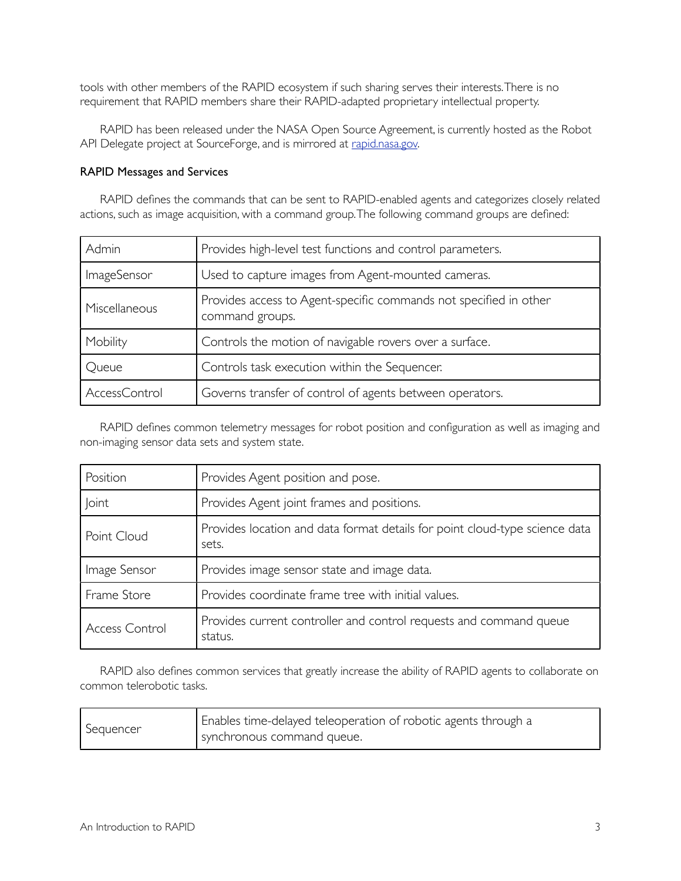tools with other members of the RAPID ecosystem if such sharing serves their interests. There is no requirement that RAPID members share their RAPID-adapted proprietary intellectual property.

RAPID has been released under the NASA Open Source Agreement, is currently hosted as the Robot API Delegate project at SourceForge, and is mirrored at [rapid.nasa.gov](http://rapid.nasa.gov/).

#### RAPID Messages and Services

RAPID defines the commands that can be sent to RAPID-enabled agents and categorizes closely related actions, such as image acquisition, with a command group. The following command groups are defined:

| Admin         | Provides high-level test functions and control parameters.                           |
|---------------|--------------------------------------------------------------------------------------|
| ImageSensor   | Used to capture images from Agent-mounted cameras.                                   |
| Miscellaneous | Provides access to Agent-specific commands not specified in other<br>command groups. |
| Mobility      | Controls the motion of navigable rovers over a surface.                              |
| Queue         | Controls task execution within the Sequencer.                                        |
| AccessControl | Governs transfer of control of agents between operators.                             |

RAPID defines common telemetry messages for robot position and configuration as well as imaging and non-imaging sensor data sets and system state.

| Position              | Provides Agent position and pose.                                                    |
|-----------------------|--------------------------------------------------------------------------------------|
| <b>Joint</b>          | Provides Agent joint frames and positions.                                           |
| Point Cloud           | Provides location and data format details for point cloud-type science data<br>sets. |
| Image Sensor          | Provides image sensor state and image data.                                          |
| Frame Store           | Provides coordinate frame tree with initial values.                                  |
| <b>Access Control</b> | Provides current controller and control requests and command queue<br>status.        |

RAPID also defines common services that greatly increase the ability of RAPID agents to collaborate on common telerobotic tasks.

| Sequencer | Enables time-delayed teleoperation of robotic agents through a |
|-----------|----------------------------------------------------------------|
|           | synchronous command queue.                                     |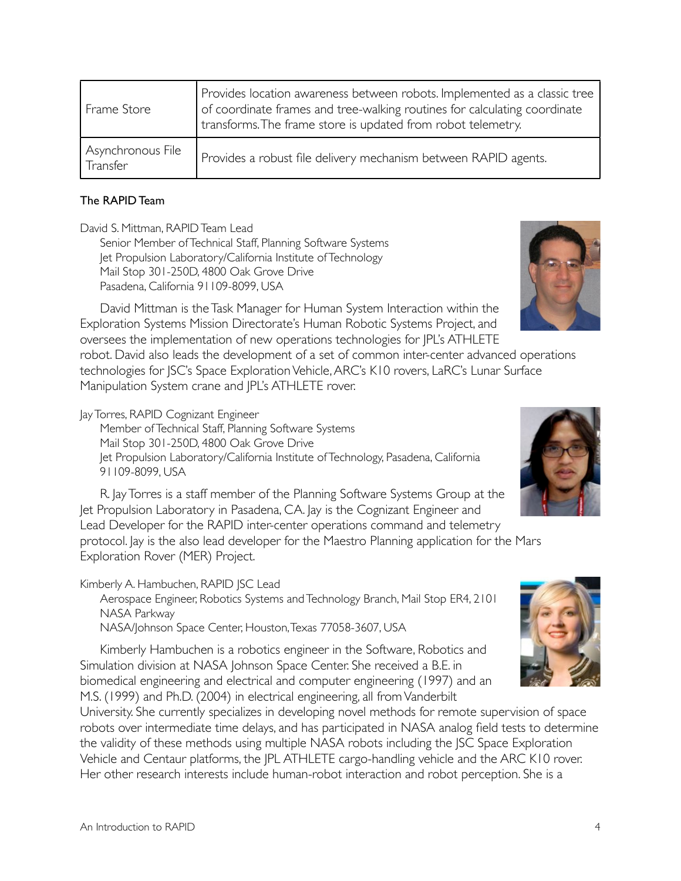| Frame Store                   | Provides location awareness between robots. Implemented as a classic tree<br>of coordinate frames and tree-walking routines for calculating coordinate<br>transforms. The frame store is updated from robot telemetry. |
|-------------------------------|------------------------------------------------------------------------------------------------------------------------------------------------------------------------------------------------------------------------|
| Asynchronous File<br>Transfer | Provides a robust file delivery mechanism between RAPID agents.                                                                                                                                                        |

### The RAPID Team

David S. Mittman, RAPID Team Lead

Senior Member of Technical Staff, Planning Software Systems Jet Propulsion Laboratory/California Institute of Technology Mail Stop 301-250D, 4800 Oak Grove Drive Pasadena, California 91109-8099, USA

David Mittman is the Task Manager for Human System Interaction within the Exploration Systems Mission Directorate's Human Robotic Systems Project, and oversees the implementation of new operations technologies for JPL's ATHLETE robot. David also leads the development of a set of common inter-center advanced operations technologies for JSC's Space Exploration Vehicle, ARC's K10 rovers, LaRC's Lunar Surface Manipulation System crane and JPL's ATHLETE rover.

Jay Torres, RAPID Cognizant Engineer

Member of Technical Staff, Planning Software Systems Mail Stop 301-250D, 4800 Oak Grove Drive Jet Propulsion Laboratory/California Institute of Technology, Pasadena, California 91109-8099, USA

R. Jay Torres is a staff member of the Planning Software Systems Group at the Jet Propulsion Laboratory in Pasadena, CA. Jay is the Cognizant Engineer and Lead Developer for the RAPID inter-center operations command and telemetry protocol. Jay is the also lead developer for the Maestro Planning application for the Mars Exploration Rover (MER) Project.

Kimberly A. Hambuchen, RAPID JSC Lead

Aerospace Engineer, Robotics Systems and Technology Branch, Mail Stop ER4, 2101 NASA Parkway

NASA/Johnson Space Center, Houston, Texas 77058-3607, USA

Kimberly Hambuchen is a robotics engineer in the Software, Robotics and Simulation division at NASA Johnson Space Center. She received a B.E. in biomedical engineering and electrical and computer engineering (1997) and an M.S. (1999) and Ph.D. (2004) in electrical engineering, all from Vanderbilt

University. She currently specializes in developing novel methods for remote supervision of space robots over intermediate time delays, and has participated in NASA analog field tests to determine the validity of these methods using multiple NASA robots including the JSC Space Exploration Vehicle and Centaur platforms, the JPL ATHLETE cargo-handling vehicle and the ARC K10 rover. Her other research interests include human-robot interaction and robot perception. She is a